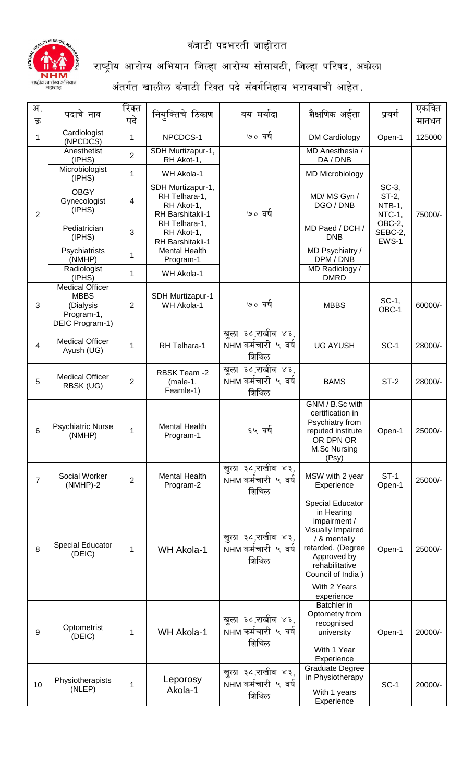

कंत्राटी पदभरती जाहीरात

## राष्ट्रीय आरोग्य अभियान जिल्हा आरोग्य सोसायटी, जिल्हा परिषद, अकोला

अंतर्गत खालील कंत्राटी रिक्त पदे संवर्गनिहाय भरावयाची आहेत $\,$ .

| अ .            | पदाचे नाव                                                                    | रिक्त          | नियुक्तिचे ठिकाण                                                     | वय मर्यादा                                        | शैक्षणिक अर्हता                                                                                                                                                                                     | प्रवर्ग                                                             | एकत्रित |
|----------------|------------------------------------------------------------------------------|----------------|----------------------------------------------------------------------|---------------------------------------------------|-----------------------------------------------------------------------------------------------------------------------------------------------------------------------------------------------------|---------------------------------------------------------------------|---------|
| क्र            |                                                                              | पदे            |                                                                      |                                                   |                                                                                                                                                                                                     |                                                                     | मानधन   |
| 1              | Cardiologist<br>(NPCDCS)                                                     | 1              | NPCDCS-1                                                             | ७० वर्ष                                           | <b>DM Cardiology</b>                                                                                                                                                                                | Open-1                                                              | 125000  |
|                | Anesthetist<br>(IPHS)                                                        | $\overline{2}$ | SDH Murtizapur-1,<br>RH Akot-1,                                      |                                                   | MD Anesthesia /<br>DA / DNB                                                                                                                                                                         |                                                                     |         |
|                | Microbiologist<br>(IPHS)                                                     | 1              | WH Akola-1                                                           |                                                   | <b>MD Microbiology</b>                                                                                                                                                                              |                                                                     |         |
| $\overline{2}$ | <b>OBGY</b><br>4<br>Gynecologist<br>(IPHS)<br>Pediatrician<br>3<br>(IPHS)    |                | SDH Murtizapur-1,<br>RH Telhara-1,<br>RH Akot-1,<br>RH Barshitakli-1 | ७० वर्ष                                           | MD/MS Gyn /<br>DGO / DNB                                                                                                                                                                            | SC-3,<br>$ST-2$ ,<br>NTB-1,<br>NTC-1,<br>OBC-2,<br>SEBC-2,<br>EWS-1 | 75000/- |
|                |                                                                              |                | RH Telhara-1,<br>RH Akot-1,<br>RH Barshitakli-1                      |                                                   | MD Paed / DCH /<br><b>DNB</b>                                                                                                                                                                       |                                                                     |         |
|                | Psychiatrists<br>(NMHP)                                                      | $\mathbf{1}$   | <b>Mental Health</b><br>Program-1                                    |                                                   | MD Psychiatry /<br>DPM / DNB                                                                                                                                                                        |                                                                     |         |
|                | Radiologist<br>(IPHS)                                                        | 1              | WH Akola-1                                                           |                                                   | MD Radiology /<br><b>DMRD</b>                                                                                                                                                                       |                                                                     |         |
| 3              | Medical Officer<br><b>MBBS</b><br>(Dialysis<br>Program-1,<br>DEIC Program-1) | 2              | SDH Murtizapur-1<br>WH Akola-1                                       | ७० वर्ष                                           | <b>MBBS</b>                                                                                                                                                                                         | SC-1,<br>OBC-1                                                      | 60000/- |
| 4              | <b>Medical Officer</b><br>Ayush (UG)                                         | 1              | RH Telhara-1                                                         | खुला ३८,राखीव ४३,<br>NHM कर्मचारी ५ वर्ष<br>शिथिल | <b>UG AYUSH</b>                                                                                                                                                                                     | $SC-1$                                                              | 28000/- |
| 5              | <b>Medical Officer</b><br>RBSK (UG)                                          | $\overline{2}$ | RBSK Team -2<br>$(male-1,$<br>Feamle-1)                              | खुला ३८,राखीव ४३,<br>NHM कर्मचारी ५ वर्ष<br>शिथिल | <b>BAMS</b>                                                                                                                                                                                         | $ST-2$                                                              | 28000/- |
| 6              | <b>Psychiatric Nurse</b><br>(NMHP)                                           | 1              | <b>Mental Health</b><br>Program-1                                    | ६५ वर्ष                                           | GNM / B.Sc with<br>certification in<br>Psychiatry from<br>reputed institute<br>OR DPN OR<br>M.Sc Nursing<br>(Psy)                                                                                   | Open-1                                                              | 25000/- |
| $\overline{7}$ | Social Worker<br>$(NMHP)-2$                                                  | $\overline{2}$ | <b>Mental Health</b><br>Program-2                                    | खुला ३८,राखीव ४३,<br>NHM कर्मचारी ५ वर्ष<br>शिथिल | MSW with 2 year<br>Experience                                                                                                                                                                       | $ST-1$<br>Open-1                                                    | 25000/- |
| 8              | Special Educator<br>(DEIC)                                                   | 1              | <b>WH Akola-1</b>                                                    | खुला ३८,राखीव ४३,<br>NHM कर्मचारी ५ वर्ष<br>शिथिल | <b>Special Educator</b><br>in Hearing<br>impairment /<br>Visually Impaired<br>/ & mentally<br>retarded. (Degree<br>Approved by<br>rehabilitative<br>Council of India)<br>With 2 Years<br>experience | Open-1                                                              | 25000/- |
| 9              | Optometrist<br>(DEIC)                                                        | 1              | <b>WH Akola-1</b>                                                    | खुला ३८,राखीव ४३,<br>NHM कर्मचारी ५ वर्ष<br>शिथिल | <b>Batchler</b> in<br>Optometry from<br>recognised<br>university<br>With 1 Year<br>Experience                                                                                                       | Open-1                                                              | 20000/- |
| 10             | Physiotherapists<br>(NLEP)                                                   | 1              | Leporosy<br>Akola-1                                                  | खुला ३८,राखीव ४३,<br>NHM कर्मचारी ५ वर्ष<br>शिथिल | <b>Graduate Degree</b><br>in Physiotherapy<br>With 1 years<br>Experience                                                                                                                            | $SC-1$                                                              | 20000/- |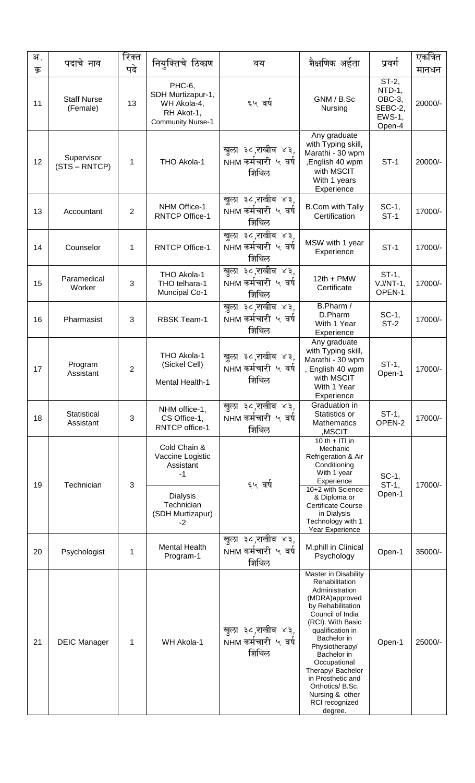| अ.<br>क्र | पदाचे नाव                      | रिक्त<br>पदे   | नियुक्तिचे ठिकाण                                                                                         | वय                                                 | शैक्षणिक अर्हता                                                                                                                                                                                                                                                                                                                            | प्रवर्ग                                                         | एकत्रित<br>मानधन |
|-----------|--------------------------------|----------------|----------------------------------------------------------------------------------------------------------|----------------------------------------------------|--------------------------------------------------------------------------------------------------------------------------------------------------------------------------------------------------------------------------------------------------------------------------------------------------------------------------------------------|-----------------------------------------------------------------|------------------|
| 11        | <b>Staff Nurse</b><br>(Female) | 13             | PHC-6,<br>SDH Murtizapur-1,<br>WH Akola-4,<br>RH Akot-1,<br><b>Community Nurse-1</b>                     | ६५ वर्ष                                            | GNM / B.Sc<br>Nursing                                                                                                                                                                                                                                                                                                                      | ST-2,<br>NTD-1,<br>OBC-3,<br>SEBC-2,<br><b>EWS-1,</b><br>Open-4 | 20000/-          |
| 12        | Supervisor<br>(STS – RNTCP)    | 1              | THO Akola-1                                                                                              | खुला ३८,राखीव ४३,<br>NHM कर्मचारी ५ वर्ष<br>शिथिल  | Any graduate<br>with Typing skill,<br>Marathi - 30 wpm<br>,English 40 wpm<br>with MSCIT<br>With 1 years<br>Experience                                                                                                                                                                                                                      | $ST-1$                                                          | 20000/-          |
| 13        | Accountant                     | $\overline{2}$ | NHM Office-1<br><b>RNTCP Office-1</b>                                                                    | खुला ३८,राखीव ४३,<br>NHM कर्मचारी ५ वर्ष<br>शिथिल  | <b>B.Com with Tally</b><br>Certification                                                                                                                                                                                                                                                                                                   | SC-1,<br>$ST-1$                                                 | 17000/-          |
| 14        | Counselor                      | 1              | <b>RNTCP Office-1</b>                                                                                    | खुला ३८,राखीव ४३,<br>NHM कर्मचारी ५ वर्ष<br>शिथिल  | MSW with 1 year<br>Experience                                                                                                                                                                                                                                                                                                              | $ST-1$                                                          | 17000/-          |
| 15        | Paramedical<br>Worker          | 3              | THO Akola-1<br>THO telhara-1<br><b>Muncipal Co-1</b>                                                     | खुला ३८,राखीव ४३,<br>NHM कर्मचारी ५ वर्ष<br>शिथिल  | $12th + PMW$<br>Certificate                                                                                                                                                                                                                                                                                                                | $ST-1$ ,<br>VJ/NT-1,<br>OPEN-1                                  | 17000/-          |
| 16        | Pharmasist                     | 3              | <b>RBSK Team-1</b>                                                                                       | खुला ३८,राखीव ४३,<br>NHM कर्मचारी ५ वर्ष<br>शिथिल  | B.Pharm /<br>D.Pharm<br>With 1 Year<br>Experience                                                                                                                                                                                                                                                                                          | $SC-1$ ,<br>$ST-2$                                              | 17000/-          |
| 17        | Program<br>Assistant           | $\overline{2}$ | THO Akola-1<br>(Sickel Cell)<br>Mental Health-1                                                          | खुला ३८,राखीव ४३,<br>NHM कर्मचारी ५ वर्ष<br>शिथिल  | Any graduate<br>with Typing skill,<br>Marathi - 30 wpm<br>, English 40 wpm<br>with MSCIT<br>With 1 Year<br>Experience                                                                                                                                                                                                                      | ST-1,<br>Open-1                                                 | 17000/-          |
| 18        | Statistical<br>Assistant       | 3              | NHM office-1,<br>CS Office-1,<br><b>RNTCP</b> office-1                                                   | खुला ३८,राखीव ४३,<br>NHM कर्मचारी ५ वर्ष<br>शिथिल  | Graduation in<br>Statistics or<br><b>Mathematics</b><br>,MSCIT                                                                                                                                                                                                                                                                             | $ST-1$ ,<br>OPEN-2                                              | 17000/-          |
| 19        | Technician                     | 3              | Cold Chain &<br>Vaccine Logistic<br>Assistant<br>-1<br><b>Dialysis</b><br>Technician<br>(SDH Murtizapur) | ६५ वर्ष                                            | 10 th + ITI in<br>Mechanic<br>Refrigeration & Air<br>Conditioning<br>With 1 year<br>Experience<br>10+2 with Science<br>& Diploma or<br><b>Certificate Course</b><br>in Dialysis                                                                                                                                                            | SC-1,<br>$ST-1$ ,<br>Open-1                                     | 17000/-          |
| 20        | Psychologist                   | 1              | $-2$<br><b>Mental Health</b><br>Program-1                                                                | खुला ३८,राखीव ४३,<br>NHM कर्मचारी ५ वर्ष<br>शिथिल  | Technology with 1<br>Year Experience<br>M.phill in Clinical<br>Psychology                                                                                                                                                                                                                                                                  | Open-1                                                          | 35000/-          |
| 21        | <b>DEIC Manager</b>            | 1              | WH Akola-1                                                                                               | खुला ३८,राखीव ४३,<br>NHM कर्मचारी  ५ वर्ष<br>शिथिल | Master in Disability<br>Rehabilitation<br>Administration<br>(MDRA)approved<br>by Rehabilitation<br>Council of India<br>(RCI). With Basic<br>qualification in<br>Bachelor in<br>Physiotherapy/<br>Bachelor in<br>Occupational<br>Therapy/ Bachelor<br>in Prosthetic and<br>Orthotics/ B.Sc.<br>Nursing & other<br>RCI recognized<br>degree. | Open-1                                                          | 25000/-          |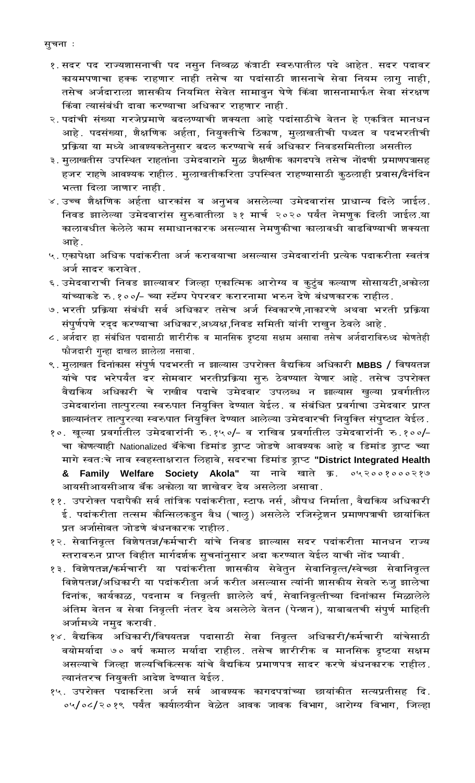- १.सदर पद राज्यशासनाची पद नसुन निव्वळ कंत्राटी स्वरुपातील पदे आहेत. सदर पदावर कायमपणाचा हक्क राहणार नाही तसेच या पदांसाठी शासनाचे सेवा नियम लागु नाही, तसेच अर्जदाराला शासकीय नियमित सेवेत सामावुन घेणे किंवा शासनामार्फत सेवा संरक्षण किंवा त्यासंबंधी दावा करण्याचा अधिकार राहणार नाही.
- २.पदांची संख्या गरजेप्रमाणे बदलण्याची शक्यता आहे पदांसाठीचे वेतन हे एकत्रित मानधन आहे. पदसंख्या, शैक्षणिक अर्हता, नियुक्तीचे ठिकाण, मुलाखतीची पध्दत व पदभरतीची प्रक्रिया या मध्ये आवश्यकतेनुसार बदल करण्याचे सर्व अधिकार निवडसमितीला असतील
- ३. मुलाखतीस उपस्थित राहतांना उमेदवाराने मुळ शैक्षणीक कागदपत्रे तसेच नोंदणी प्रमाणपत्रासह हजर राहणे आवश्यक राहील. मुलाखतीकरिता उपस्थित राहण्यासाठी कुठलाही प्रवास/दैनंदिन भत्ता दिला जाणार नाही.
- ४.उच्च शैक्षणिक अर्हता धारकांस व अनुभव असलेल्या उमेदवारांस प्राधान्य दिले जाईल. निवड झालेल्या उमेदवारांस सुरुवातीला ३१ मार्च २०२० पर्यंत नेमणुक दिली जाईल या कालावधीत केलेले काम समाधानकारक असल्यास नेमणुकीचा कालावधी वाढविण्याची शक्यता आहे.
- ५. एकापेक्षा अधिक पदांकरीता अर्ज करावयाचा असल्यास उमेदवारांनी प्रत्येक पदाकरीता स्वतंत्र अर्ज सादर करावेत.
- ६. उमेदवाराची निवड झाल्यावर जिल्हा एकात्मिक आरोग्य व कुटुंब कल्याण सोसायटी,अकोला यांच्याकडे रु.१००/- च्या स्टॅम्प पेपरवर करारनामा भरुन देणे बंधणकारक राहील.
- ७. भरती प्रक्रिया संबंधी सर्व अधिकार तसेच अर्ज स्विकारणे,नाकारणे अथवा भरती प्रक्रिया संपुर्णपणे रद्द करण्याचा अधिकार,अध्यक्ष,निवड समिती यांनी राखुन ठेवले आहे.
- ८. अर्जदार हा संबंधित पदासाठी शारीरीक व मानसिक दृष्टया सक्षम असावा तसेच अर्जदाराविरुध्द कोणतेही फौजदारी गुन्हा दाखल झालेला नसावा.
- ९. मुलाखत दिनांकास संपुर्ण पदभरती न झाल्यास उपरोक्त वैद्यकिय अधिकारी MBBS / विषयतज्ञ यांचे पद भरेपर्यंत दर सोमवार भरतीप्रक्रिया सुरु ठेवण्यात येणार आहे. तसेच उपरोक्त वैद्यकिय अधिकारी चे राखीव पदाचे उमेदवार उपलब्ध न झाल्यास खुल्या प्रवर्गातील उमेदवारांना तात्पुरत्या स्वरुपात नियुक्ति देण्यात येईल. व संबंधित प्रवर्गाचा उमेदवार प्राप्त झाल्यानंतर तात्पुरत्या स्वरुपात नियुक्ति देण्यात आलेल्या उमेदवारची नियुक्ति संपुष्टात येईल.
- १०. खूल्या प्रवर्गातील उमेदवारांनी रु.१५०/- व राखिव प्रवर्गातील उमेदवारांनी रु.१००/-चा कोणत्याही Nationalized बॅंकेचा डिमांड ड्राप्ट जोडणे आवश्यक आहे व डिमांड ड्राप्ट च्या मागे स्वतःचे नाव स्वहस्ताक्षरात लिहावे, सदरचा डिमांड ड्राप्ट "District Integrated Health & Family Welfare Society Akola" या नावे खाते क्र.  $042008000280$ आयसीआयसीआय बॅक अकोला या शाखेवर देय असलेला असावा.
- ११. उपरोक्त पदापैकी सर्व तांत्रिक पदांकरीता, स्टाफ नर्स, औषध निर्माता, वैद्यकिय अधिकारी ई. पदांकरीता तत्सम कौन्सिलकडुन वैध (चालु) असलेले रजिस्ट्रेशन प्रमाणपत्राची छायांकित प्रत अर्जासोबत जोडणे बंधनकारक राहील.
- १२. सेवानिवृत्त विशेषतज्ञ/कर्मचारी यांचे निवड झाल्यास सदर पदांकरीता मानधन राज्य स्तरावरुन प्राप्त विहीत मार्गदर्शक सुचनांनुसार अदा करण्यात येईल याची नोंद घ्यावी.
- १३. विशेषतज्ञ/कर्मचारी या पदांकरीता शासकीय सेवेतुन सेवानिवृत्त/स्वेच्छा सेवानिवृत्त विशेषतज्ञ/अधिकारी या पदांकरीता अर्ज करीत असल्यास त्यांनी शासकीय सेवते रुजु झालेचा दिनांक, कार्यकाळ, पदनाम व निवृत्ती झालेले वर्ष, सेवानिवृत्तीच्या दिनांकास मिळालेले अंतिम वेतन व सेवा निवृत्ती नंतर देय असलेले वेतन (पेन्शन), याबाबतची संपुर्ण माहिती अर्जामध्ये नमुद करावी.
- १४. वैद्यकिय अधिकारी/विषयतज्ञ पदासाठी सेवा निवृत्त अधिकारी/कर्मचारी यांचेसाठी वयोमर्यादा ७० वर्ष कमाल मर्यादा राहील. तसेच शारीरीक व मानसिक दृष्टया सक्षम असल्याचे जिल्हा शल्यचिकित्सक यांचे वैद्यकिय प्रमाणपत्र सादर करणे बंधनकारक राहील. त्यानंतरच नियुक्ती आदेश देण्यात येईल.
- १५. उपरोक्त पदाकरिता अर्ज सर्व आवश्यक कागदपत्रांच्या छायांकीत सत्यप्रतीसह दि. ०५/०८/२०१९ पर्यंत कार्यालयीन वेळेत आवक जावक विभाग, आरोग्य विभाग, जिल्हा

सुचना**ः**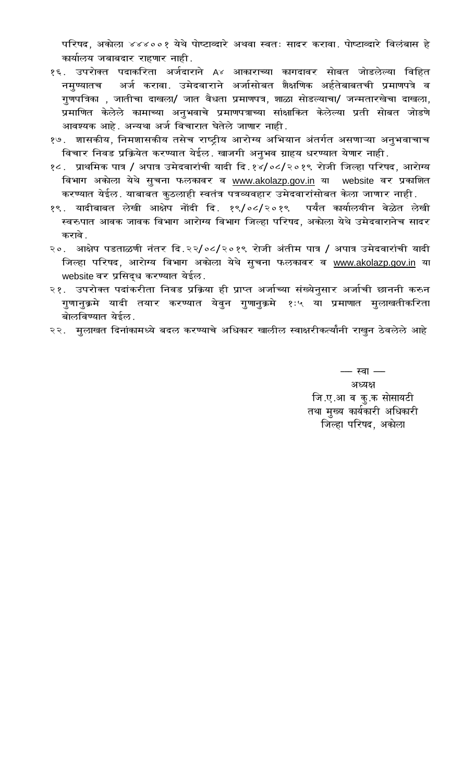परिषद, अकोला ४४४००१ येथे पोष्टाव्दारे अथवा स्वतः सादर करावा. पोष्टाव्दारे विलंबास हे कार्यालय जबाबदार राहणार नाही.

- १६. उपरोक्त पदाकरिता अर्जदाराने A४ आकाराच्या कागदावर सोबत जोडलेल्या विहित नमुण्यातच अर्ज करावा. उमेदवाराने अर्जासोबत शैक्षणिक अर्हतेबाबतची प्रमाणपत्रे व गुणपत्रिका , जातीचा दाखला/ जात वैधता प्रमाणपत्र, शाळा सोडल्याचा/ जन्मतारखेचा दाखला, प्रमाणित केलेले कामाच्या अनुभवाचे प्रमाणपत्राच्या सांक्षाकित केलेल्या प्रती सोबत जोडणे आवश्यक आहे. अन्यथा अर्ज विचारात घेतेले जाणार नाही.
- १७. शासकीय, निमशासकीय तसेच राष्ट्रीय आरोग्य अभियान अंतर्गत असणाऱ्या अनुभवाचाच विचार निवड प्रक्रियेत करण्यात येईल. खाजगी अनूभव ग्राहय धरण्यात येणार नाही.
- १८. प्राथमिक पात्र / अपात्र उमेदवारांची यादी दि.१४/०८/२०१९ रोजी जिल्हा परिषद, आरोग्य विभाग अकोला येथे सुचना फलकावर व <u>www.akolazp.gov.in</u> या website वर प्रकाशित करण्यात येईल. याबाबत कुठलाही स्वतंत्र पत्रव्यवहार उमेदवारांसोबत केला जाणार नाही.
- १९. यादीबाबत लेखी आक्षेप नोंदी दि. १९/०८/२०१९ पर्यंत कार्यालयीन वेळेत लेखी स्वरुपात आवक जावक विभाग आरोग्य विभाग जिल्हा परिषद, अकोला येथे उमेदवारानेच सादर करावे .
- २०. आक्षेप पडताळणी नंतर दि.२२/०८/२०१९ रोजी अंतीम पात्र / अपात्र उमेदवारांची यादी जिल्हा परिषद, आरोग्य विभाग अकोला येथे सुचना फलकावर व www.akolazp.gov.in या website वर प्रसिद्ध करण्यात येईल.
- २१. उपरोक्त पदांकरीता निवड प्रक्रिया ही प्राप्त अर्जाच्या संख्येनुसार अर्जाची छाननी करुन गुणानुक्रमे यादी तयार करण्यात येवुन गुणानुक्रमे १ः५ या प्रमाणात मुलाखतीकरिता बोलविण्यात येईल.
- २२. मुलाखत दिनांकामध्ये बदल करण्याचे अधिकार खालील स्वाक्षरीकर्त्यांनी राखून ठेवलेले आहे

 $-$  स्वा $-$ अध्यक्ष जि.ए.आ व कु.क सोसायटी तथा मुख्य कार्यकारी अधिकारी जिल्हा परिषद, अकोला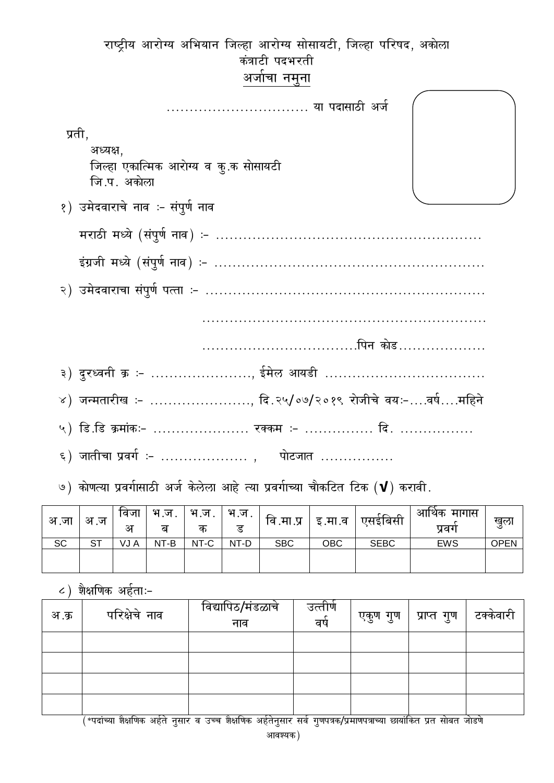| राष्ट्रीय आरोग्य अभियान जिल्हा आरोग्य सोसायटी, जिल्हा परिषद, अकोला |
|--------------------------------------------------------------------|
| कंत्राटी पदभरती                                                    |
| अर्जाचा नमुना                                                      |
| या पदासाठी अर्ज                                                    |
| प्रती,<br>अध्यक्ष,                                                 |
| जिल्हा एकात्मिक आरोग्य व कू.क सोसायटी<br>जि.प. अकोला               |
| १) उमेदवाराचे नाव :- संपुर्ण नाव                                   |
|                                                                    |
|                                                                    |
|                                                                    |
|                                                                    |
|                                                                    |
| पिन कोड                                                            |
| ३) दुरध्वनी क्र :- , ईमेल आयडी                                     |
| ४) जन्मतारीख ≔ …………………… दि.२५/०७/२०१९ रोजीचे वयः−….वर्ष….महिने     |
| ५) डि.डि क्रमांकः– ………………… रक्कम :- ……………. दि. …………….              |
| ६) जातीचा प्रवर्ग :-  ,    पोटजात                                  |

| अ .जा | अ.ज | ावजा<br>अ | भ.ज.<br>ब | भ.ज.<br>क | भ.ज.<br>ड | वि .मा .प्र | इ.मा.व | एसइंबिसी    | आर्थिक<br>मागास<br>प्रवग | खुला |
|-------|-----|-----------|-----------|-----------|-----------|-------------|--------|-------------|--------------------------|------|
| SC    | ST  | VJ A      | NT-B      | NT-C      | NT-D      | <b>SBC</b>  | OBC    | <b>SEBC</b> | <b>EWS</b>               | OPEN |
|       |     |           |           |           |           |             |        |             |                          |      |

 $\epsilon$ ) शैक्षणिक अर्हताः-

| अ.क्र | परिक्षेचे नाव | विद्यापिठ/मंडळाचे<br>नाव | उत्तीर्ण<br>वर्ष | एकुण गुण | प्राप्त गुण | टक्केवारी |
|-------|---------------|--------------------------|------------------|----------|-------------|-----------|
|       |               |                          |                  |          |             |           |
|       |               |                          |                  |          |             |           |
|       |               |                          |                  |          |             |           |
|       |               |                          |                  |          |             |           |

|<br>| \*पदांच्या शेक्षणिक अर्हते नुसार व उच्च शेक्षणिक अर्हतेनुसार सर्व गुणपत्रक/प्रमाणपत्राच्या छायांकित प्रत सोबत जोडणे